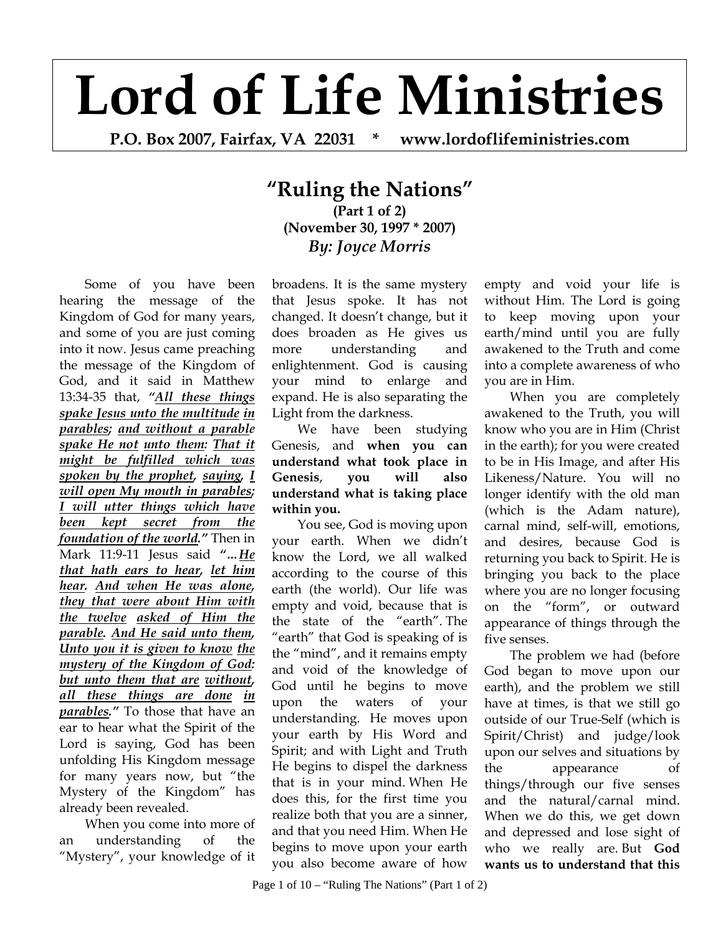# **Lord of Life Ministries**

**P.O. Box 2007, Fairfax, VA 22031 \* www.lordoflifeministries.com** 

## **"Ruling the Nations" (Part 1 of 2) (November 30, 1997 \* 2007)** *By: Joyce Morris*

Some of you have been hearing the message of the Kingdom of God for many years, and some of you are just coming into it now. Jesus came preaching the message of the Kingdom of God, and it said in Matthew 13:34-35 that, *"All these things spake Jesus unto the multitude in parables; and without a parable spake He not unto them: That it might be fulfilled which was spoken by the prophet, saying, I will open My mouth in parables; I will utter things which have been kept secret from the foundation of the world."* Then in Mark 11:9-11 Jesus said *"…He that hath ears to hear, let him hear. And when He was alone, they that were about Him with the twelve asked of Him the parable. And He said unto them, Unto you it is given to know the mystery of the Kingdom of God: but unto them that are without, all these things are done in parables."* To those that have an ear to hear what the Spirit of the Lord is saying, God has been unfolding His Kingdom message for many years now, but "the Mystery of the Kingdom" has already been revealed.

When you come into more of an understanding of the "Mystery", your knowledge of it broadens. It is the same mystery that Jesus spoke. It has not changed. It doesn't change, but it does broaden as He gives us more understanding and enlightenment. God is causing your mind to enlarge and expand. He is also separating the Light from the darkness.

We have been studying Genesis, and **when you can understand what took place in Genesis**, **you will also understand what is taking place within you.**

You see, God is moving upon your earth. When we didn't know the Lord, we all walked according to the course of this earth (the world). Our life was empty and void, because that is the state of the "earth". The "earth" that God is speaking of is the "mind", and it remains empty and void of the knowledge of God until he begins to move upon the waters of your understanding. He moves upon your earth by His Word and Spirit; and with Light and Truth He begins to dispel the darkness that is in your mind. When He does this, for the first time you realize both that you are a sinner, and that you need Him. When He begins to move upon your earth you also become aware of how

empty and void your life is without Him. The Lord is going to keep moving upon your earth/mind until you are fully awakened to the Truth and come into a complete awareness of who you are in Him.

When you are completely awakened to the Truth, you will know who you are in Him (Christ in the earth); for you were created to be in His Image, and after His Likeness/Nature. You will no longer identify with the old man (which is the Adam nature), carnal mind, self-will, emotions, and desires, because God is returning you back to Spirit. He is bringing you back to the place where you are no longer focusing on the "form", or outward appearance of things through the five senses.

The problem we had (before God began to move upon our earth), and the problem we still have at times, is that we still go outside of our True-Self (which is Spirit/Christ) and judge/look upon our selves and situations by the appearance of things/through our five senses and the natural/carnal mind. When we do this, we get down and depressed and lose sight of who we really are. But **God wants us to understand that this**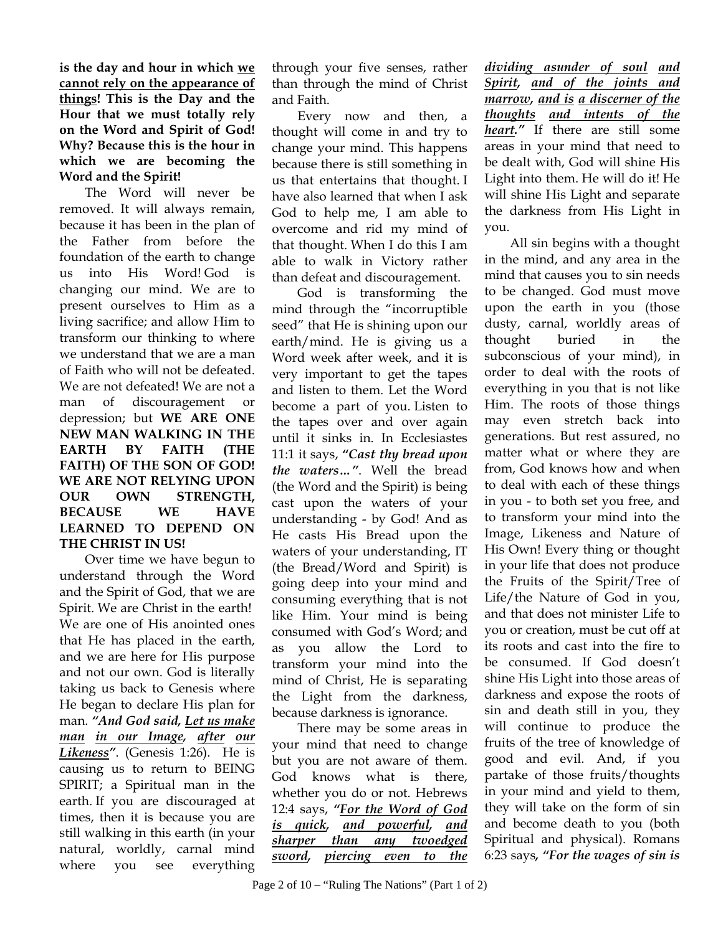**is the day and hour in which we cannot rely on the appearance of things! This is the Day and the Hour that we must totally rely on the Word and Spirit of God! Why? Because this is the hour in which we are becoming the Word and the Spirit!** 

The Word will never be removed. It will always remain, because it has been in the plan of the Father from before the foundation of the earth to change us into His Word! God is changing our mind. We are to present ourselves to Him as a living sacrifice; and allow Him to transform our thinking to where we understand that we are a man of Faith who will not be defeated. We are not defeated! We are not a man of discouragement or depression; but **WE ARE ONE NEW MAN WALKING IN THE EARTH BY FAITH (THE FAITH) OF THE SON OF GOD! WE ARE NOT RELYING UPON OUR OWN STRENGTH, BECAUSE WE HAVE LEARNED TO DEPEND ON THE CHRIST IN US!** 

Over time we have begun to understand through the Word and the Spirit of God, that we are Spirit. We are Christ in the earth! We are one of His anointed ones that He has placed in the earth, and we are here for His purpose and not our own. God is literally taking us back to Genesis where He began to declare His plan for man. *"And God said, Let us make man in our Image, after our Likeness"*. (Genesis 1:26). He is causing us to return to BEING SPIRIT; a Spiritual man in the earth. If you are discouraged at times, then it is because you are still walking in this earth (in your natural, worldly, carnal mind where you see everything

through your five senses, rather than through the mind of Christ and Faith.

Every now and then, a thought will come in and try to change your mind. This happens because there is still something in us that entertains that thought. I have also learned that when I ask God to help me, I am able to overcome and rid my mind of that thought. When I do this I am able to walk in Victory rather than defeat and discouragement.

God is transforming the mind through the "incorruptible seed" that He is shining upon our earth/mind. He is giving us a Word week after week, and it is very important to get the tapes and listen to them. Let the Word become a part of you. Listen to the tapes over and over again until it sinks in. In Ecclesiastes 11:1 it says, *"Cast thy bread upon the waters…"*. Well the bread (the Word and the Spirit) is being cast upon the waters of your understanding - by God! And as He casts His Bread upon the waters of your understanding, IT (the Bread/Word and Spirit) is going deep into your mind and consuming everything that is not like Him. Your mind is being consumed with God's Word; and as you allow the Lord to transform your mind into the mind of Christ, He is separating the Light from the darkness, because darkness is ignorance.

There may be some areas in your mind that need to change but you are not aware of them. God knows what is there, whether you do or not. Hebrews 12:4 says, *"For the Word of God is quick, and powerful, and sharper than any twoedged sword, piercing even to the* 

*dividing asunder of soul and Spirit, and of the joints and marrow, and is a discerner of the thoughts and intents of the heart."* If there are still some areas in your mind that need to be dealt with, God will shine His Light into them. He will do it! He will shine His Light and separate the darkness from His Light in you.

All sin begins with a thought in the mind, and any area in the mind that causes you to sin needs to be changed. God must move upon the earth in you (those dusty, carnal, worldly areas of thought buried in the subconscious of your mind), in order to deal with the roots of everything in you that is not like Him. The roots of those things may even stretch back into generations. But rest assured, no matter what or where they are from, God knows how and when to deal with each of these things in you - to both set you free, and to transform your mind into the Image, Likeness and Nature of His Own! Every thing or thought in your life that does not produce the Fruits of the Spirit/Tree of Life/the Nature of God in you, and that does not minister Life to you or creation, must be cut off at its roots and cast into the fire to be consumed. If God doesn't shine His Light into those areas of darkness and expose the roots of sin and death still in you, they will continue to produce the fruits of the tree of knowledge of good and evil. And, if you partake of those fruits/thoughts in your mind and yield to them, they will take on the form of sin and become death to you (both Spiritual and physical). Romans 6:23 says*, "For the wages of sin is*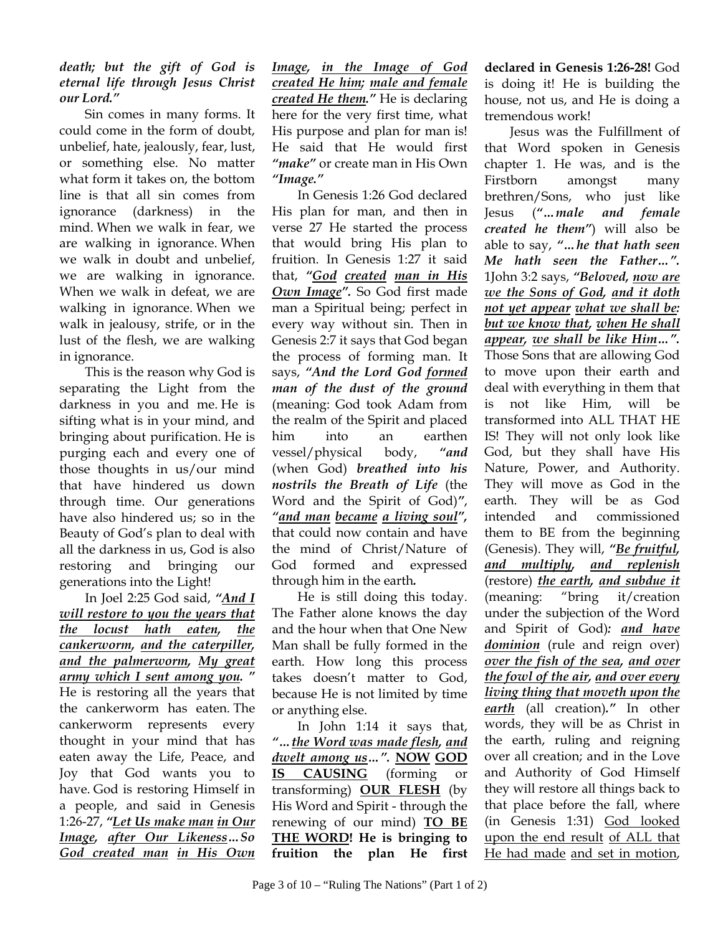#### *death; but the gift of God is eternal life through Jesus Christ our Lord."*

Sin comes in many forms. It could come in the form of doubt, unbelief, hate, jealously, fear, lust, or something else. No matter what form it takes on, the bottom line is that all sin comes from ignorance (darkness) in the mind. When we walk in fear, we are walking in ignorance. When we walk in doubt and unbelief, we are walking in ignorance. When we walk in defeat, we are walking in ignorance. When we walk in jealousy, strife, or in the lust of the flesh, we are walking in ignorance.

This is the reason why God is separating the Light from the darkness in you and me. He is sifting what is in your mind, and bringing about purification. He is purging each and every one of those thoughts in us/our mind that have hindered us down through time. Our generations have also hindered us; so in the Beauty of God's plan to deal with all the darkness in us, God is also restoring and bringing our generations into the Light!

In Joel 2:25 God said, *"And I will restore to you the years that the locust hath eaten, the cankerworm, and the caterpiller, and the palmerworm, My great army which I sent among you. "*  He is restoring all the years that the cankerworm has eaten. The cankerworm represents every thought in your mind that has eaten away the Life, Peace, and Joy that God wants you to have. God is restoring Himself in a people, and said in Genesis 1:26-27, *"Let Us make man in Our Image, after Our Likeness…So God created man in His Own*

*Image, in the Image of God created He him; male and female created He them."* He is declaring here for the very first time, what His purpose and plan for man is! He said that He would first *"make"* or create man in His Own *"Image."*

In Genesis 1:26 God declared His plan for man, and then in verse 27 He started the process that would bring His plan to fruition. In Genesis 1:27 it said that, *"God created man in His Own Image".* So God first made man a Spiritual being; perfect in every way without sin. Then in Genesis 2:7 it says that God began the process of forming man. It says, *"And the Lord God formed man of the dust of the ground* (meaning: God took Adam from the realm of the Spirit and placed him into an earthen vessel/physical body, *"and*  (when God) *breathed into his nostrils the Breath of Life* (the Word and the Spirit of God)*"*, *"and man became a living soul",*  that could now contain and have the mind of Christ/Nature of God formed and expressed through him in the earth*.*

He is still doing this today. The Father alone knows the day and the hour when that One New Man shall be fully formed in the earth. How long this process takes doesn't matter to God, because He is not limited by time or anything else.

In John 1:14 it says that, *"…the Word was made flesh, and dwelt among us…".* **NOW GOD IS CAUSING** (forming or transforming) **OUR FLESH** (by His Word and Spirit - through the renewing of our mind) **TO BE THE WORD! He is bringing to fruition the plan He first** 

**declared in Genesis 1:26-28!** God is doing it! He is building the house, not us, and He is doing a tremendous work!

Jesus was the Fulfillment of that Word spoken in Genesis chapter 1. He was, and is the Firstborn amongst many brethren/Sons, who just like Jesus (*"…male and female created he them"*) will also be able to say, *"…he that hath seen Me hath seen the Father…".*  1John 3:2 says, *"Beloved, now are we the Sons of God, and it doth not yet appear what we shall be: but we know that, when He shall appear, we shall be like Him…".* Those Sons that are allowing God to move upon their earth and deal with everything in them that is not like Him, will be transformed into ALL THAT HE IS! They will not only look like God, but they shall have His Nature, Power, and Authority. They will move as God in the earth. They will be as God intended and commissioned them to BE from the beginning (Genesis). They will, *"Be fruitful, and multiply, and replenish* (restore) *the earth, and subdue it* (meaning: "bring it/creation under the subjection of the Word and Spirit of God)*: and have dominion* (rule and reign over) *over the fish of the sea, and over the fowl of the air, and over every living thing that moveth upon the earth* (all creation)*."* In other words, they will be as Christ in the earth, ruling and reigning over all creation; and in the Love and Authority of God Himself they will restore all things back to that place before the fall, where (in Genesis 1:31) God looked upon the end result of ALL that He had made and set in motion,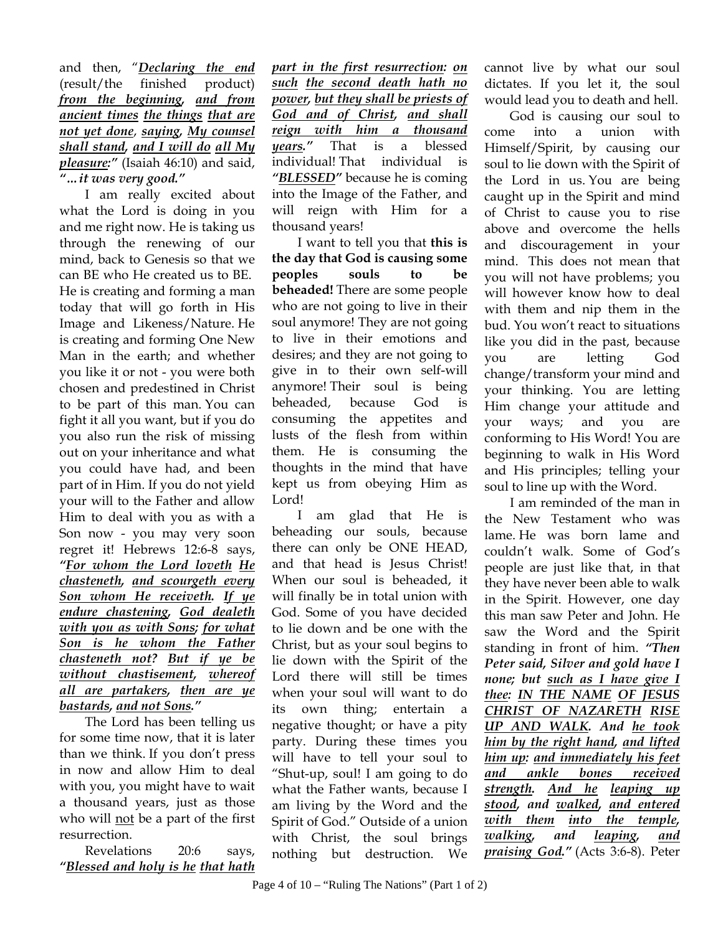and then, "*Declaring the end* (result/the finished product) *from the beginning, and from ancient times the things that are not yet done*, *saying, My counsel shall stand, and I will do all My pleasure:"* (Isaiah 46:10) and said, *"…it was very good."* 

I am really excited about what the Lord is doing in you and me right now. He is taking us through the renewing of our mind, back to Genesis so that we can BE who He created us to BE. He is creating and forming a man today that will go forth in His Image and Likeness/Nature. He is creating and forming One New Man in the earth; and whether you like it or not - you were both chosen and predestined in Christ to be part of this man. You can fight it all you want, but if you do you also run the risk of missing out on your inheritance and what you could have had, and been part of in Him. If you do not yield your will to the Father and allow Him to deal with you as with a Son now - you may very soon regret it! Hebrews 12:6-8 says, *"For whom the Lord loveth He chasteneth, and scourgeth every Son whom He receiveth. If ye endure chastening, God dealeth with you as with Sons; for what Son is he whom the Father chasteneth not? But if ye be without chastisement, whereof all are partakers, then are ye bastards, and not Sons."* 

The Lord has been telling us for some time now, that it is later than we think. If you don't press in now and allow Him to deal with you, you might have to wait a thousand years, just as those who will not be a part of the first resurrection.

Revelations 20:6 says, *"Blessed and holy is he that hath*  *part in the first resurrection: on such the second death hath no power, but they shall be priests of God and of Christ, and shall reign with him a thousand years."* That is a blessed individual! That individual is *"BLESSED"* because he is coming into the Image of the Father, and will reign with Him for a thousand years!

I want to tell you that **this is the day that God is causing some peoples souls to be beheaded!** There are some people who are not going to live in their soul anymore! They are not going to live in their emotions and desires; and they are not going to give in to their own self-will anymore! Their soul is being beheaded, because God is consuming the appetites and lusts of the flesh from within them. He is consuming the thoughts in the mind that have kept us from obeying Him as Lord!

I am glad that He is beheading our souls, because there can only be ONE HEAD, and that head is Jesus Christ! When our soul is beheaded, it will finally be in total union with God. Some of you have decided to lie down and be one with the Christ, but as your soul begins to lie down with the Spirit of the Lord there will still be times when your soul will want to do its own thing; entertain negative thought; or have a pity party. During these times you will have to tell your soul to "Shut-up, soul! I am going to do what the Father wants, because I am living by the Word and the Spirit of God." Outside of a union with Christ, the soul brings nothing but destruction. We

cannot live by what our soul dictates. If you let it, the soul would lead you to death and hell.

God is causing our soul to come into a union with Himself/Spirit, by causing our soul to lie down with the Spirit of the Lord in us. You are being caught up in the Spirit and mind of Christ to cause you to rise above and overcome the hells and discouragement in your mind. This does not mean that you will not have problems; you will however know how to deal with them and nip them in the bud. You won't react to situations like you did in the past, because you are letting God change/transform your mind and your thinking. You are letting Him change your attitude and your ways; and you are conforming to His Word! You are beginning to walk in His Word and His principles; telling your soul to line up with the Word.

I am reminded of the man in the New Testament who was lame. He was born lame and couldn't walk. Some of God's people are just like that, in that they have never been able to walk in the Spirit. However, one day this man saw Peter and John. He saw the Word and the Spirit standing in front of him. *"Then Peter said, Silver and gold have I none; but such as I have give I thee: IN THE NAME OF JESUS CHRIST OF NAZARETH RISE UP AND WALK. And he took him by the right hand, and lifted him up: and immediately his feet and ankle bones received strength. And he leaping up stood, and walked, and entered with them into the temple, walking, and leaping, and praising God."* (Acts 3:6-8). Peter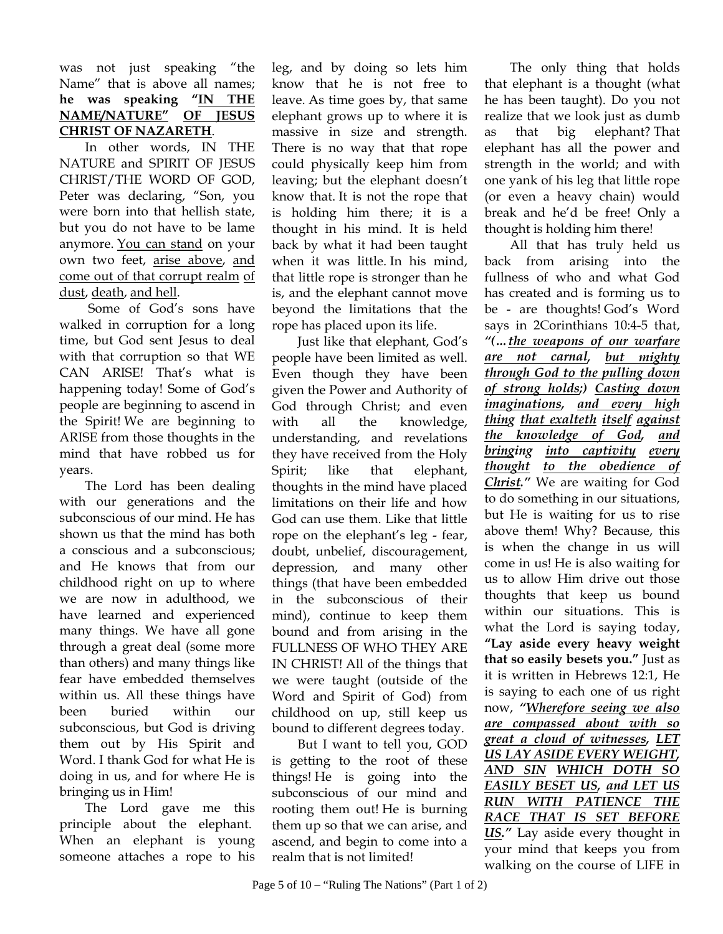#### was not just speaking "the Name" that is above all names; **he was speaking "IN THE NAME/NATURE" OF JESUS CHRIST OF NAZARETH**.

In other words, IN THE NATURE and SPIRIT OF JESUS CHRIST/THE WORD OF GOD, Peter was declaring, "Son, you were born into that hellish state, but you do not have to be lame anymore. You can stand on your own two feet, arise above, and come out of that corrupt realm of dust, death, and hell.

 Some of God's sons have walked in corruption for a long time, but God sent Jesus to deal with that corruption so that WE CAN ARISE! That's what is happening today! Some of God's people are beginning to ascend in the Spirit! We are beginning to ARISE from those thoughts in the mind that have robbed us for years.

The Lord has been dealing with our generations and the subconscious of our mind. He has shown us that the mind has both a conscious and a subconscious; and He knows that from our childhood right on up to where we are now in adulthood, we have learned and experienced many things. We have all gone through a great deal (some more than others) and many things like fear have embedded themselves within us. All these things have been buried within our subconscious, but God is driving them out by His Spirit and Word. I thank God for what He is doing in us, and for where He is bringing us in Him!

The Lord gave me this principle about the elephant. When an elephant is young someone attaches a rope to his

leg, and by doing so lets him know that he is not free to leave. As time goes by, that same elephant grows up to where it is massive in size and strength. There is no way that that rope could physically keep him from leaving; but the elephant doesn't know that. It is not the rope that is holding him there; it is a thought in his mind. It is held back by what it had been taught when it was little. In his mind, that little rope is stronger than he is, and the elephant cannot move beyond the limitations that the rope has placed upon its life.

Just like that elephant, God's people have been limited as well. Even though they have been given the Power and Authority of God through Christ; and even with all the knowledge, understanding, and revelations they have received from the Holy Spirit; like that elephant, thoughts in the mind have placed limitations on their life and how God can use them. Like that little rope on the elephant's leg - fear, doubt, unbelief, discouragement, depression, and many other things (that have been embedded in the subconscious of their mind), continue to keep them bound and from arising in the FULLNESS OF WHO THEY ARE IN CHRIST! All of the things that we were taught (outside of the Word and Spirit of God) from childhood on up, still keep us bound to different degrees today.

But I want to tell you, GOD is getting to the root of these things! He is going into the subconscious of our mind and rooting them out! He is burning them up so that we can arise, and ascend, and begin to come into a realm that is not limited!

The only thing that holds that elephant is a thought (what he has been taught). Do you not realize that we look just as dumb as that big elephant? That elephant has all the power and strength in the world; and with one yank of his leg that little rope (or even a heavy chain) would break and he'd be free! Only a thought is holding him there!

All that has truly held us back from arising into the fullness of who and what God has created and is forming us to be - are thoughts! God's Word says in 2Corinthians 10:4-5 that, *"(…the weapons of our warfare are not carnal, but mighty through God to the pulling down of strong holds;) Casting down imaginations, and every high thing that exalteth itself against the knowledge of God, and bringing into captivity every thought to the obedience of Christ."* We are waiting for God to do something in our situations, but He is waiting for us to rise above them! Why? Because, this is when the change in us will come in us! He is also waiting for us to allow Him drive out those thoughts that keep us bound within our situations. This is what the Lord is saying today, **"Lay aside every heavy weight that so easily besets you."** Just as it is written in Hebrews 12:1, He is saying to each one of us right now, *"Wherefore seeing we also are compassed about with so great a cloud of witnesses, LET US LAY ASIDE EVERY WEIGHT, AND SIN WHICH DOTH SO EASILY BESET US, and LET US RUN WITH PATIENCE THE RACE THAT IS SET BEFORE US."* Lay aside every thought in your mind that keeps you from walking on the course of LIFE in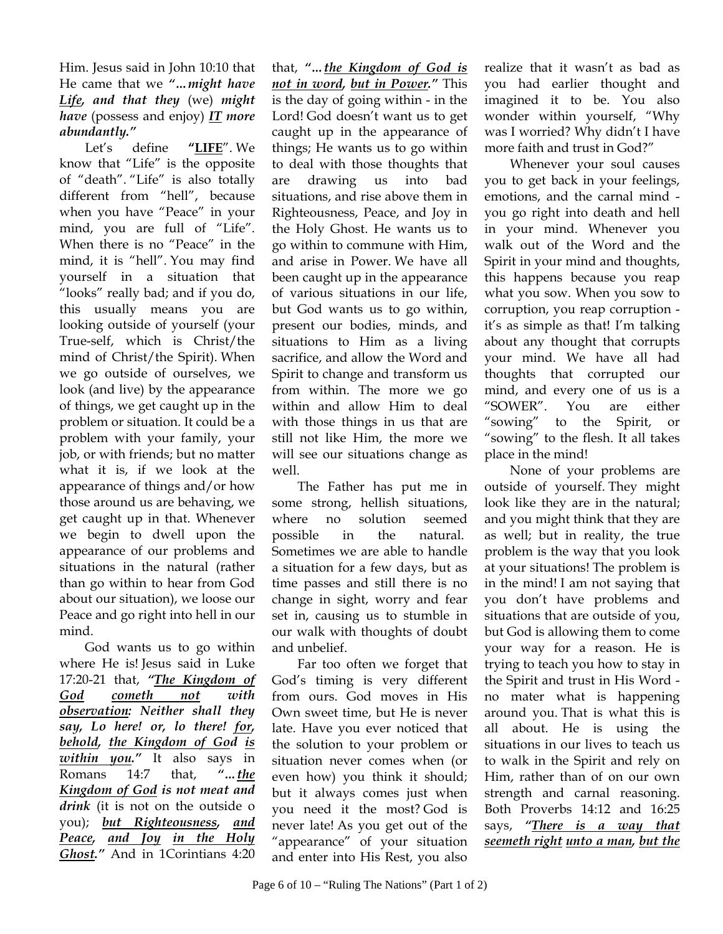Him. Jesus said in John 10:10 that He came that we *"…might have Life, and that they* (we) *might have* (possess and enjoy) *IT more abundantly."* 

Let's define **"LIFE**". We know that "Life" is the opposite of "death". "Life" is also totally different from "hell", because when you have "Peace" in your mind, you are full of "Life". When there is no "Peace" in the mind, it is "hell". You may find yourself in a situation that "looks" really bad; and if you do, this usually means you are looking outside of yourself (your True-self, which is Christ/the mind of Christ/the Spirit). When we go outside of ourselves, we look (and live) by the appearance of things, we get caught up in the problem or situation. It could be a problem with your family, your job, or with friends; but no matter what it is, if we look at the appearance of things and/or how those around us are behaving, we get caught up in that. Whenever we begin to dwell upon the appearance of our problems and situations in the natural (rather than go within to hear from God about our situation), we loose our Peace and go right into hell in our mind.

God wants us to go within where He is! Jesus said in Luke 17:20-21 that, *"The Kingdom of God cometh not with observation: Neither shall they say, Lo here! or, lo there! for, behold, the Kingdom of God is within you."* It also says in Romans 14:7 that, *"…the Kingdom of God is not meat and drink* (it is not on the outside o you); *but Righteousness, and Peace, and Joy in the Holy Ghost."* And in 1Corintians 4:20

that, *"…the Kingdom of God is not in word, but in Power."* This is the day of going within - in the Lord! God doesn't want us to get caught up in the appearance of things; He wants us to go within to deal with those thoughts that are drawing us into bad situations, and rise above them in Righteousness, Peace, and Joy in the Holy Ghost. He wants us to go within to commune with Him, and arise in Power. We have all been caught up in the appearance of various situations in our life, but God wants us to go within, present our bodies, minds, and situations to Him as a living sacrifice, and allow the Word and Spirit to change and transform us from within. The more we go within and allow Him to deal with those things in us that are still not like Him, the more we will see our situations change as well.

The Father has put me in some strong, hellish situations, where no solution seemed possible in the natural. Sometimes we are able to handle a situation for a few days, but as time passes and still there is no change in sight, worry and fear set in, causing us to stumble in our walk with thoughts of doubt and unbelief.

Far too often we forget that God's timing is very different from ours. God moves in His Own sweet time, but He is never late. Have you ever noticed that the solution to your problem or situation never comes when (or even how) you think it should; but it always comes just when you need it the most? God is never late! As you get out of the "appearance" of your situation and enter into His Rest, you also

realize that it wasn't as bad as you had earlier thought and imagined it to be. You also wonder within yourself, "Why was I worried? Why didn't I have more faith and trust in God?"

Whenever your soul causes you to get back in your feelings, emotions, and the carnal mind you go right into death and hell in your mind. Whenever you walk out of the Word and the Spirit in your mind and thoughts, this happens because you reap what you sow. When you sow to corruption, you reap corruption it's as simple as that! I'm talking about any thought that corrupts your mind. We have all had thoughts that corrupted our mind, and every one of us is a "SOWER". You are either "sowing" to the Spirit, or "sowing" to the flesh. It all takes place in the mind!

None of your problems are outside of yourself. They might look like they are in the natural; and you might think that they are as well; but in reality, the true problem is the way that you look at your situations! The problem is in the mind! I am not saying that you don't have problems and situations that are outside of you, but God is allowing them to come your way for a reason. He is trying to teach you how to stay in the Spirit and trust in His Word no mater what is happening around you. That is what this is all about. He is using the situations in our lives to teach us to walk in the Spirit and rely on Him, rather than of on our own strength and carnal reasoning. Both Proverbs 14:12 and 16:25 says, *"There is a way that seemeth right unto a man, but the*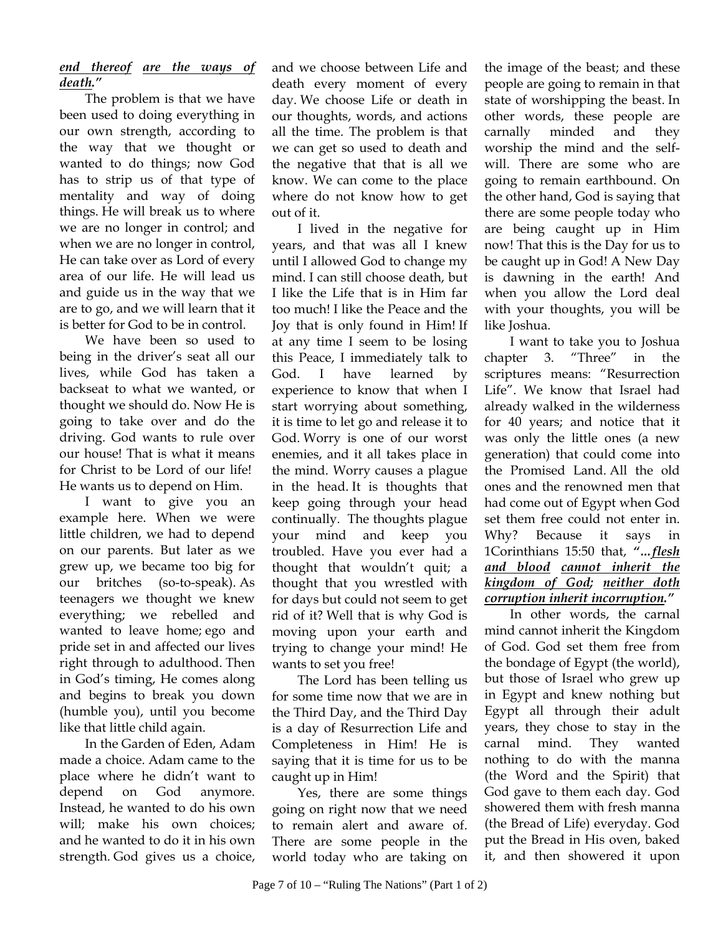### *end thereof are the ways of death."*

The problem is that we have been used to doing everything in our own strength, according to the way that we thought or wanted to do things; now God has to strip us of that type of mentality and way of doing things. He will break us to where we are no longer in control; and when we are no longer in control, He can take over as Lord of every area of our life. He will lead us and guide us in the way that we are to go, and we will learn that it is better for God to be in control.

We have been so used to being in the driver's seat all our lives, while God has taken a backseat to what we wanted, or thought we should do. Now He is going to take over and do the driving. God wants to rule over our house! That is what it means for Christ to be Lord of our life! He wants us to depend on Him.

I want to give you an example here. When we were little children, we had to depend on our parents. But later as we grew up, we became too big for our britches (so-to-speak). As teenagers we thought we knew everything; we rebelled and wanted to leave home; ego and pride set in and affected our lives right through to adulthood. Then in God's timing, He comes along and begins to break you down (humble you), until you become like that little child again.

In the Garden of Eden, Adam made a choice. Adam came to the place where he didn't want to depend on God anymore. Instead, he wanted to do his own will; make his own choices; and he wanted to do it in his own strength. God gives us a choice,

and we choose between Life and death every moment of every day. We choose Life or death in our thoughts, words, and actions all the time. The problem is that we can get so used to death and the negative that that is all we know. We can come to the place where do not know how to get out of it.

I lived in the negative for years, and that was all I knew until I allowed God to change my mind. I can still choose death, but I like the Life that is in Him far too much! I like the Peace and the Joy that is only found in Him! If at any time I seem to be losing this Peace, I immediately talk to God. I have learned by experience to know that when I start worrying about something, it is time to let go and release it to God. Worry is one of our worst enemies, and it all takes place in the mind. Worry causes a plague in the head. It is thoughts that keep going through your head continually. The thoughts plague your mind and keep you troubled. Have you ever had a thought that wouldn't quit; a thought that you wrestled with for days but could not seem to get rid of it? Well that is why God is moving upon your earth and trying to change your mind! He wants to set you free!

The Lord has been telling us for some time now that we are in the Third Day, and the Third Day is a day of Resurrection Life and Completeness in Him! He is saying that it is time for us to be caught up in Him!

Yes, there are some things going on right now that we need to remain alert and aware of. There are some people in the world today who are taking on

the image of the beast; and these people are going to remain in that state of worshipping the beast. In other words, these people are carnally minded and they worship the mind and the selfwill. There are some who are going to remain earthbound. On the other hand, God is saying that there are some people today who are being caught up in Him now! That this is the Day for us to be caught up in God! A New Day is dawning in the earth! And when you allow the Lord deal with your thoughts, you will be like Joshua.

I want to take you to Joshua chapter 3. "Three" in the scriptures means: "Resurrection Life". We know that Israel had already walked in the wilderness for 40 years; and notice that it was only the little ones (a new generation) that could come into the Promised Land. All the old ones and the renowned men that had come out of Egypt when God set them free could not enter in. Why? Because it says in 1Corinthians 15:50 that, *"…flesh and blood cannot inherit the kingdom of God; neither doth corruption inherit incorruption."* 

In other words, the carnal mind cannot inherit the Kingdom of God. God set them free from the bondage of Egypt (the world), but those of Israel who grew up in Egypt and knew nothing but Egypt all through their adult years, they chose to stay in the carnal mind. They wanted nothing to do with the manna (the Word and the Spirit) that God gave to them each day. God showered them with fresh manna (the Bread of Life) everyday. God put the Bread in His oven, baked it, and then showered it upon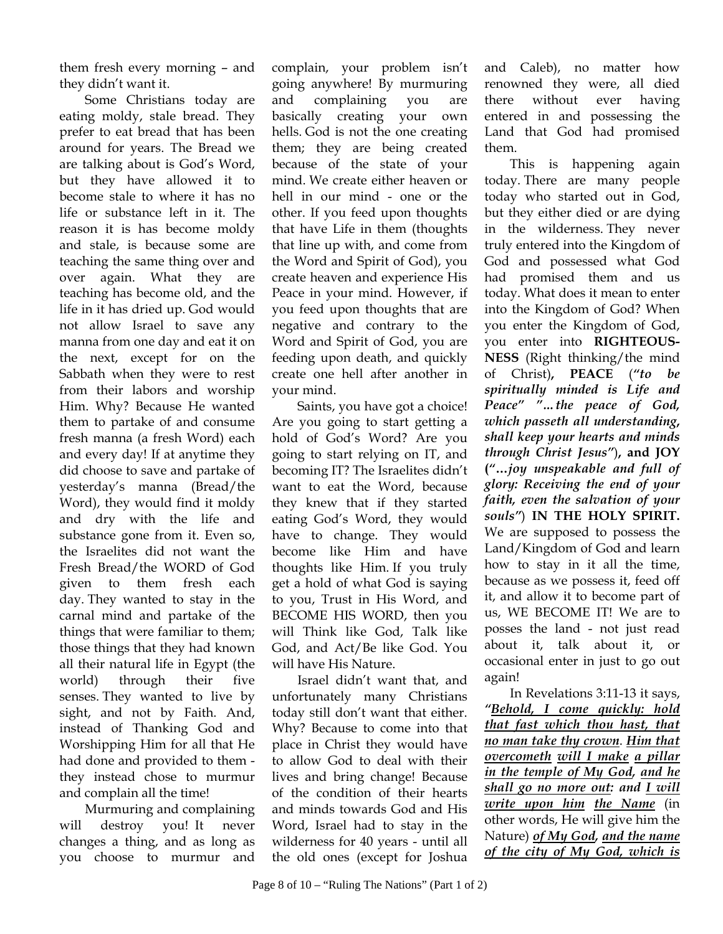them fresh every morning – and they didn't want it.

Some Christians today are eating moldy, stale bread. They prefer to eat bread that has been around for years. The Bread we are talking about is God's Word, but they have allowed it to become stale to where it has no life or substance left in it. The reason it is has become moldy and stale, is because some are teaching the same thing over and over again. What they are teaching has become old, and the life in it has dried up. God would not allow Israel to save any manna from one day and eat it on the next, except for on the Sabbath when they were to rest from their labors and worship Him. Why? Because He wanted them to partake of and consume fresh manna (a fresh Word) each and every day! If at anytime they did choose to save and partake of yesterday's manna (Bread/the Word), they would find it moldy and dry with the life and substance gone from it. Even so, the Israelites did not want the Fresh Bread/the WORD of God given to them fresh each day. They wanted to stay in the carnal mind and partake of the things that were familiar to them; those things that they had known all their natural life in Egypt (the world) through their five senses. They wanted to live by sight, and not by Faith. And, instead of Thanking God and Worshipping Him for all that He had done and provided to them they instead chose to murmur and complain all the time!

Murmuring and complaining will destroy you! It never changes a thing, and as long as you choose to murmur and

complain, your problem isn't going anywhere! By murmuring and complaining you are basically creating your own hells. God is not the one creating them; they are being created because of the state of your mind. We create either heaven or hell in our mind - one or the other. If you feed upon thoughts that have Life in them (thoughts that line up with, and come from the Word and Spirit of God), you create heaven and experience His Peace in your mind. However, if you feed upon thoughts that are negative and contrary to the Word and Spirit of God, you are feeding upon death, and quickly create one hell after another in your mind.

Saints, you have got a choice! Are you going to start getting a hold of God's Word? Are you going to start relying on IT, and becoming IT? The Israelites didn't want to eat the Word, because they knew that if they started eating God's Word, they would have to change. They would become like Him and have thoughts like Him. If you truly get a hold of what God is saying to you, Trust in His Word, and BECOME HIS WORD, then you will Think like God, Talk like God, and Act/Be like God. You will have His Nature.

Israel didn't want that, and unfortunately many Christians today still don't want that either. Why? Because to come into that place in Christ they would have to allow God to deal with their lives and bring change! Because of the condition of their hearts and minds towards God and His Word, Israel had to stay in the wilderness for 40 years - until all the old ones (except for Joshua

and Caleb), no matter how renowned they were, all died there without ever having entered in and possessing the Land that God had promised them.

This is happening again today. There are many people today who started out in God, but they either died or are dying in the wilderness. They never truly entered into the Kingdom of God and possessed what God had promised them and us today. What does it mean to enter into the Kingdom of God? When you enter the Kingdom of God, you enter into **RIGHTEOUS-NESS** (Right thinking/the mind of Christ)**, PEACE** (*"to be spiritually minded is Life and Peace" "…the peace of God, which passeth all understanding***,**  *shall keep your hearts and minds through Christ Jesus"*)**, and JOY (***"***…***joy unspeakable and full of glory: Receiving the end of your faith, even the salvation of your souls"*) **IN THE HOLY SPIRIT.** We are supposed to possess the Land/Kingdom of God and learn how to stay in it all the time, because as we possess it, feed off it, and allow it to become part of us, WE BECOME IT! We are to posses the land - not just read about it, talk about it, or occasional enter in just to go out again!

In Revelations 3:11-13 it says, *"Behold, I come quickly: hold that fast which thou hast, that no man take thy crown*. *Him that overcometh will I make a pillar in the temple of My God, and he shall go no more out: and I will write upon him the Name* (in other words, He will give him the Nature) *of My God, and the name of the city of My God, which is*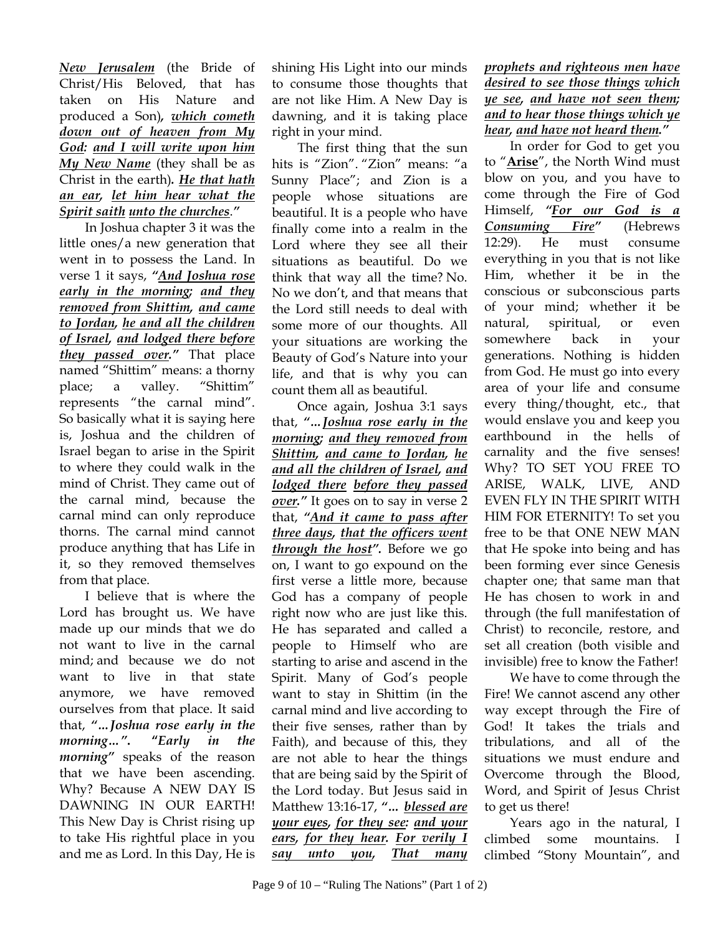*New Jerusalem* (the Bride of Christ/His Beloved, that has taken on His Nature and produced a Son)*, which cometh down out of heaven from My God: and I will write upon him My New Name* (they shall be as Christ in the earth)*. He that hath an ear, let him hear what the Spirit saith unto the churches*.*"*

In Joshua chapter 3 it was the little ones/a new generation that went in to possess the Land. In verse 1 it says, *"And Joshua rose early in the morning; and they removed from Shittim, and came to Jordan, he and all the children of Israel, and lodged there before they passed over."* That place named "Shittim" means: a thorny place; a valley. "Shittim" represents "the carnal mind". So basically what it is saying here is, Joshua and the children of Israel began to arise in the Spirit to where they could walk in the mind of Christ. They came out of the carnal mind, because the carnal mind can only reproduce thorns. The carnal mind cannot produce anything that has Life in it, so they removed themselves from that place.

I believe that is where the Lord has brought us. We have made up our minds that we do not want to live in the carnal mind; and because we do not want to live in that state anymore, we have removed ourselves from that place. It said that, *"…Joshua rose early in the morning…"***. "***Early in the morning"* speaks of the reason that we have been ascending. Why? Because A NEW DAY IS DAWNING IN OUR EARTH! This New Day is Christ rising up to take His rightful place in you and me as Lord. In this Day, He is

shining His Light into our minds to consume those thoughts that are not like Him. A New Day is dawning, and it is taking place right in your mind.

The first thing that the sun hits is "Zion". "Zion" means: "a Sunny Place"; and Zion is a people whose situations are beautiful. It is a people who have finally come into a realm in the Lord where they see all their situations as beautiful. Do we think that way all the time? No. No we don't, and that means that the Lord still needs to deal with some more of our thoughts. All your situations are working the Beauty of God's Nature into your life, and that is why you can count them all as beautiful.

Once again, Joshua 3:1 says that, *"…Joshua rose early in the morning; and they removed from Shittim, and came to Jordan, he and all the children of Israel, and lodged there before they passed over."* It goes on to say in verse 2 that, *"And it came to pass after three days, that the officers went through the host".* Before we go on, I want to go expound on the first verse a little more, because God has a company of people right now who are just like this. He has separated and called a people to Himself who are starting to arise and ascend in the Spirit. Many of God's people want to stay in Shittim (in the carnal mind and live according to their five senses, rather than by Faith), and because of this, they are not able to hear the things that are being said by the Spirit of the Lord today. But Jesus said in Matthew 13:16-17, *"… blessed are your eyes, for they see: and your ears, for they hear. For verily I say unto you, That many*  *prophets and righteous men have desired to see those things which ye see, and have not seen them; and to hear those things which ye hear, and have not heard them."*

In order for God to get you to "**Arise**", the North Wind must blow on you, and you have to come through the Fire of God Himself, *"For our God is a Consuming Fire"* (Hebrews 12:29). He must consume everything in you that is not like Him, whether it be in the conscious or subconscious parts of your mind; whether it be natural, spiritual, or even somewhere back in your generations. Nothing is hidden from God. He must go into every area of your life and consume every thing/thought, etc., that would enslave you and keep you earthbound in the hells of carnality and the five senses! Why? TO SET YOU FREE TO ARISE, WALK, LIVE, AND EVEN FLY IN THE SPIRIT WITH HIM FOR ETERNITY! To set you free to be that ONE NEW MAN that He spoke into being and has been forming ever since Genesis chapter one; that same man that He has chosen to work in and through (the full manifestation of Christ) to reconcile, restore, and set all creation (both visible and invisible) free to know the Father!

We have to come through the Fire! We cannot ascend any other way except through the Fire of God! It takes the trials and tribulations, and all of the situations we must endure and Overcome through the Blood, Word, and Spirit of Jesus Christ to get us there!

Years ago in the natural, I climbed some mountains. I climbed "Stony Mountain", and